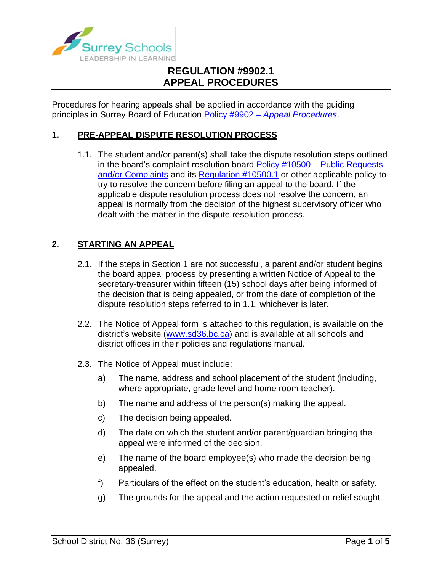

Procedures for hearing appeals shall be applied in accordance with the guiding principles in Surrey Board of Education Policy #9902 – *[Appeal Procedures](https://www.surreyschools.ca/departments/SECT/PoliciesRegulations/section_9000/Documents/9902%20Policy.pdf)*.

### **1. PRE-APPEAL DISPUTE RESOLUTION PROCESS**

1.1. The student and/or parent(s) shall take the dispute resolution steps outlined in the board's complaint resolution board Policy #10500 – [Public Requests](https://www.surreyschools.ca/departments/SECT/PoliciesRegulations/section_10000/Documents/10500%20Policy.pdf)  [and/or Complaints](https://www.surreyschools.ca/departments/SECT/PoliciesRegulations/section_10000/Documents/10500%20Policy.pdf) and its [Regulation #10500.1](https://www.surreyschools.ca/departments/SECT/PoliciesRegulations/section_10000/Documents/10500.1%20Regulation.pdf) or other applicable policy to try to resolve the concern before filing an appeal to the board. If the applicable dispute resolution process does not resolve the concern, an appeal is normally from the decision of the highest supervisory officer who dealt with the matter in the dispute resolution process.

### **2. STARTING AN APPEAL**

- 2.1. If the steps in Section 1 are not successful, a parent and/or student begins the board appeal process by presenting a written Notice of Appeal to the secretary-treasurer within fifteen (15) school days after being informed of the decision that is being appealed, or from the date of completion of the dispute resolution steps referred to in 1.1, whichever is later.
- 2.2. The Notice of Appeal form is attached to this regulation, is available on the district's website [\(www.sd36.bc.ca\)](http://www.sd36.bc.ca/) and is available at all schools and district offices in their policies and regulations manual.
- 2.3. The Notice of Appeal must include:
	- a) The name, address and school placement of the student (including, where appropriate, grade level and home room teacher).
	- b) The name and address of the person(s) making the appeal.
	- c) The decision being appealed.
	- d) The date on which the student and/or parent/guardian bringing the appeal were informed of the decision.
	- e) The name of the board employee(s) who made the decision being appealed.
	- f) Particulars of the effect on the student's education, health or safety.
	- g) The grounds for the appeal and the action requested or relief sought.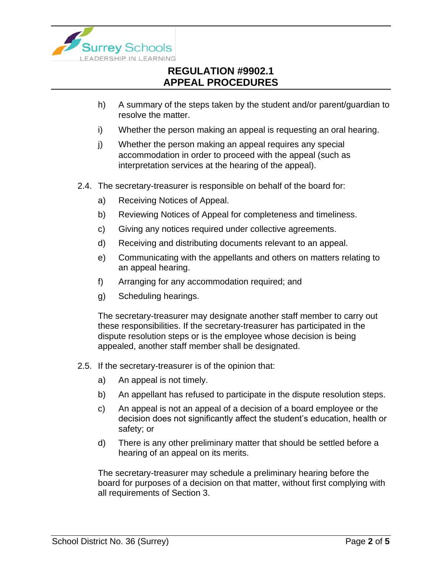

- h) A summary of the steps taken by the student and/or parent/guardian to resolve the matter.
- i) Whether the person making an appeal is requesting an oral hearing.
- j) Whether the person making an appeal requires any special accommodation in order to proceed with the appeal (such as interpretation services at the hearing of the appeal).
- 2.4. The secretary-treasurer is responsible on behalf of the board for:
	- a) Receiving Notices of Appeal.
	- b) Reviewing Notices of Appeal for completeness and timeliness.
	- c) Giving any notices required under collective agreements.
	- d) Receiving and distributing documents relevant to an appeal.
	- e) Communicating with the appellants and others on matters relating to an appeal hearing.
	- f) Arranging for any accommodation required; and
	- g) Scheduling hearings.

The secretary-treasurer may designate another staff member to carry out these responsibilities. If the secretary-treasurer has participated in the dispute resolution steps or is the employee whose decision is being appealed, another staff member shall be designated.

- 2.5. If the secretary-treasurer is of the opinion that:
	- a) An appeal is not timely.
	- b) An appellant has refused to participate in the dispute resolution steps.
	- c) An appeal is not an appeal of a decision of a board employee or the decision does not significantly affect the student's education, health or safety; or
	- d) There is any other preliminary matter that should be settled before a hearing of an appeal on its merits.

The secretary-treasurer may schedule a preliminary hearing before the board for purposes of a decision on that matter, without first complying with all requirements of Section 3.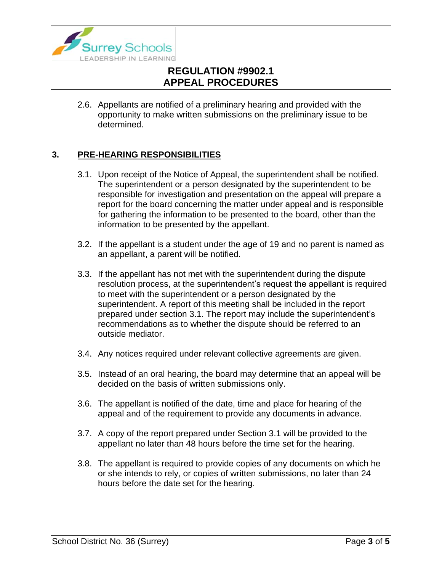

2.6. Appellants are notified of a preliminary hearing and provided with the opportunity to make written submissions on the preliminary issue to be determined.

### **3. PRE-HEARING RESPONSIBILITIES**

- 3.1. Upon receipt of the Notice of Appeal, the superintendent shall be notified. The superintendent or a person designated by the superintendent to be responsible for investigation and presentation on the appeal will prepare a report for the board concerning the matter under appeal and is responsible for gathering the information to be presented to the board, other than the information to be presented by the appellant.
- 3.2. If the appellant is a student under the age of 19 and no parent is named as an appellant, a parent will be notified.
- 3.3. If the appellant has not met with the superintendent during the dispute resolution process, at the superintendent's request the appellant is required to meet with the superintendent or a person designated by the superintendent. A report of this meeting shall be included in the report prepared under section 3.1. The report may include the superintendent's recommendations as to whether the dispute should be referred to an outside mediator.
- 3.4. Any notices required under relevant collective agreements are given.
- 3.5. Instead of an oral hearing, the board may determine that an appeal will be decided on the basis of written submissions only.
- 3.6. The appellant is notified of the date, time and place for hearing of the appeal and of the requirement to provide any documents in advance.
- 3.7. A copy of the report prepared under Section 3.1 will be provided to the appellant no later than 48 hours before the time set for the hearing.
- 3.8. The appellant is required to provide copies of any documents on which he or she intends to rely, or copies of written submissions, no later than 24 hours before the date set for the hearing.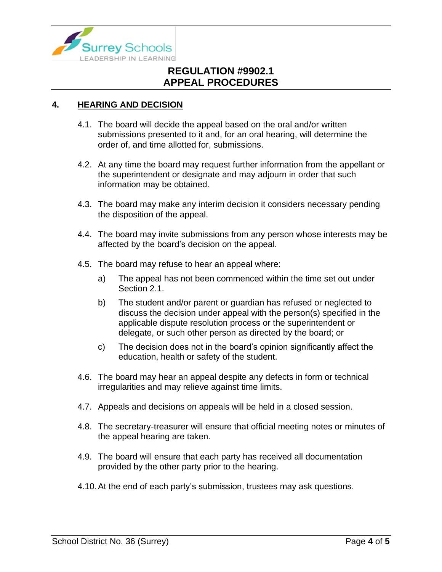

#### **4. HEARING AND DECISION**

- 4.1. The board will decide the appeal based on the oral and/or written submissions presented to it and, for an oral hearing, will determine the order of, and time allotted for, submissions.
- 4.2. At any time the board may request further information from the appellant or the superintendent or designate and may adjourn in order that such information may be obtained.
- 4.3. The board may make any interim decision it considers necessary pending the disposition of the appeal.
- 4.4. The board may invite submissions from any person whose interests may be affected by the board's decision on the appeal.
- 4.5. The board may refuse to hear an appeal where:
	- a) The appeal has not been commenced within the time set out under Section 2.1.
	- b) The student and/or parent or guardian has refused or neglected to discuss the decision under appeal with the person(s) specified in the applicable dispute resolution process or the superintendent or delegate, or such other person as directed by the board; or
	- c) The decision does not in the board's opinion significantly affect the education, health or safety of the student.
- 4.6. The board may hear an appeal despite any defects in form or technical irregularities and may relieve against time limits.
- 4.7. Appeals and decisions on appeals will be held in a closed session.
- 4.8. The secretary-treasurer will ensure that official meeting notes or minutes of the appeal hearing are taken.
- 4.9. The board will ensure that each party has received all documentation provided by the other party prior to the hearing.
- 4.10.At the end of each party's submission, trustees may ask questions.